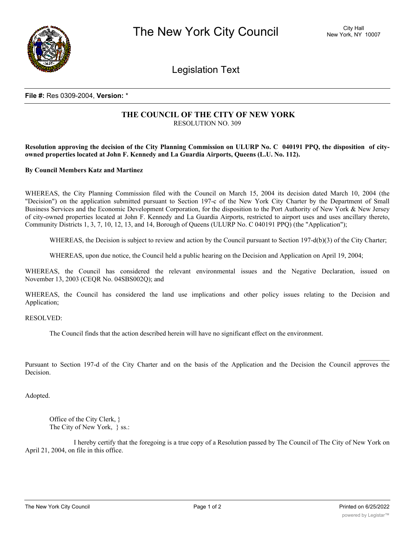

Legislation Text

## **File #:** Res 0309-2004, **Version:** \*

## **THE COUNCIL OF THE CITY OF NEW YORK** RESOLUTION NO. 309

Resolution approving the decision of the City Planning Commission on ULURP No. C 040191 PPQ, the disposition of city**owned properties located at John F. Kennedy and La Guardia Airports, Queens (L.U. No. 112).**

**By Council Members Katz and Martinez**

WHEREAS, the City Planning Commission filed with the Council on March 15, 2004 its decision dated March 10, 2004 (the "Decision") on the application submitted pursuant to Section 197-c of the New York City Charter by the Department of Small Business Services and the Economic Development Corporation, for the disposition to the Port Authority of New York & New Jersey of city-owned properties located at John F. Kennedy and La Guardia Airports, restricted to airport uses and uses ancillary thereto, Community Districts 1, 3, 7, 10, 12, 13, and 14, Borough of Queens (ULURP No. C 040191 PPQ) (the "Application");

WHEREAS, the Decision is subject to review and action by the Council pursuant to Section 197-d(b)(3) of the City Charter;

WHEREAS, upon due notice, the Council held a public hearing on the Decision and Application on April 19, 2004;

WHEREAS, the Council has considered the relevant environmental issues and the Negative Declaration, issued on November 13, 2003 (CEQR No. 04SBS002Q); and

WHEREAS, the Council has considered the land use implications and other policy issues relating to the Decision and Application;

RESOLVED:

The Council finds that the action described herein will have no significant effect on the environment.

Pursuant to Section 197-d of the City Charter and on the basis of the Application and the Decision the Council approves the Decision.

Adopted.

Office of the City Clerk, } The City of New York, } ss.:

I hereby certify that the foregoing is a true copy of a Resolution passed by The Council of The City of New York on April 21, 2004, on file in this office.